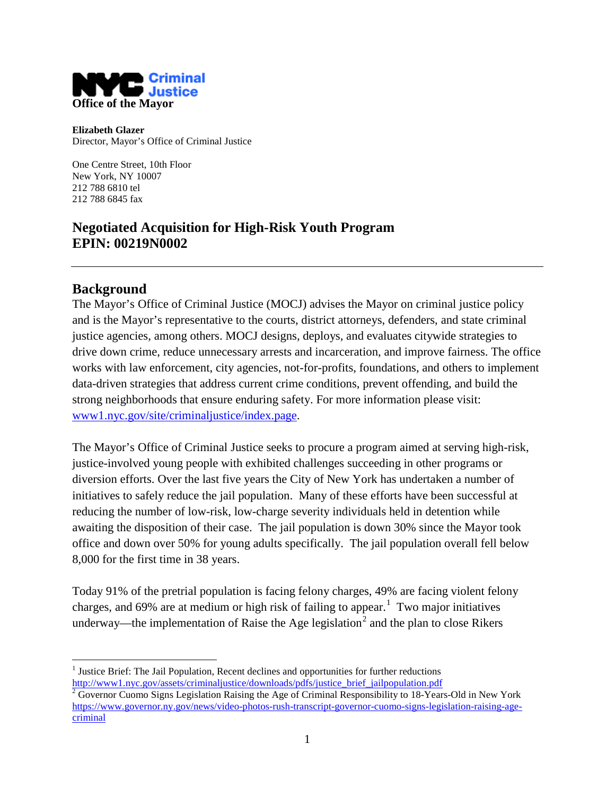

**Elizabeth Glazer** Director, Mayor's Office of Criminal Justice

One Centre Street, 10th Floor New York, NY 10007 212 788 6810 tel 212 788 6845 fax

## **Negotiated Acquisition for High-Risk Youth Program EPIN: 00219N0002**

### **Background**

The Mayor's Office of Criminal Justice (MOCJ) advises the Mayor on criminal justice policy and is the Mayor's representative to the courts, district attorneys, defenders, and state criminal justice agencies, among others. MOCJ designs, deploys, and evaluates citywide strategies to drive down crime, reduce unnecessary arrests and incarceration, and improve fairness. The office works with law enforcement, city agencies, not-for-profits, foundations, and others to implement data-driven strategies that address current crime conditions, prevent offending, and build the strong neighborhoods that ensure enduring safety. For more information please visit: [www1.nyc.gov/site/criminaljustice/index.page.](http://www1.nyc.gov/site/criminaljustice/index.page)

The Mayor's Office of Criminal Justice seeks to procure a program aimed at serving high-risk, justice-involved young people with exhibited challenges succeeding in other programs or diversion efforts. Over the last five years the City of New York has undertaken a number of initiatives to safely reduce the jail population. Many of these efforts have been successful at reducing the number of low-risk, low-charge severity individuals held in detention while awaiting the disposition of their case. The jail population is down 30% since the Mayor took office and down over 50% for young adults specifically. The jail population overall fell below 8,000 for the first time in 38 years.

Today 91% of the pretrial population is facing felony charges, 49% are facing violent felony charges, and 69% are at medium or high risk of failing to appear.<sup>[1](#page-0-0)</sup> Two major initiatives underway—the implementation of Raise the Age legislation<sup>[2](#page-0-1)</sup> and the plan to close Rikers

<span id="page-0-2"></span><span id="page-0-0"></span> $<sup>1</sup>$  Justice Brief: The Jail Population, Recent declines and opportunities for further reductions</sup>

<span id="page-0-1"></span>[http://www1.nyc.gov/assets/criminaljustice/downloads/pdfs/justice\\_brief\\_jailpopulation.pdf](http://www1.nyc.gov/assets/criminaljustice/downloads/pdfs/justice_brief_jailpopulation.pdf)<br><sup>2</sup> Governor Cuomo Signs Legislation Raising the Age of Criminal Responsibility to 18-Years-Old in New York [https://www.governor.ny.gov/news/video-photos-rush-transcript-governor-cuomo-signs-legislation-raising-age](https://www.governor.ny.gov/news/video-photos-rush-transcript-governor-cuomo-signs-legislation-raising-age-criminal)[criminal](https://www.governor.ny.gov/news/video-photos-rush-transcript-governor-cuomo-signs-legislation-raising-age-criminal)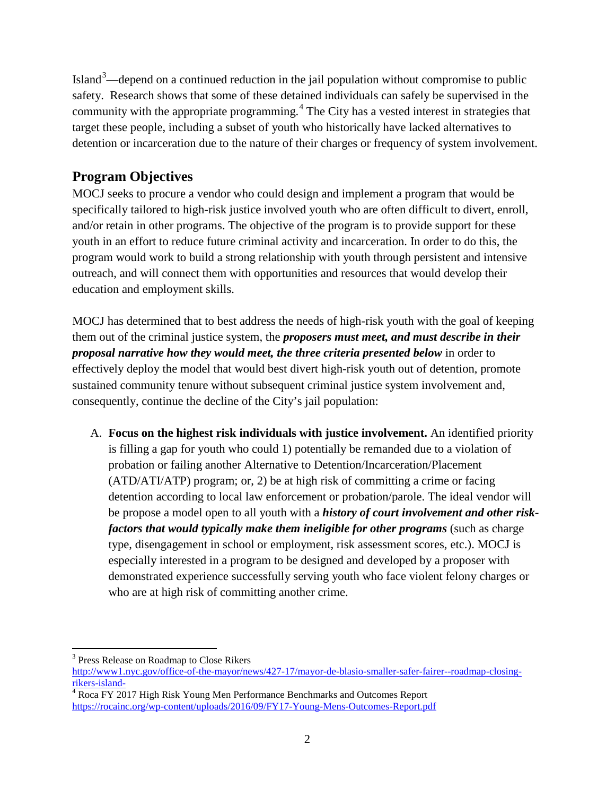Island<sup>[3](#page-0-2)</sup>—depend on a continued reduction in the jail population without compromise to public safety. Research shows that some of these detained individuals can safely be supervised in the community with the appropriate programming.<sup>[4](#page-1-0)</sup> The City has a vested interest in strategies that target these people, including a subset of youth who historically have lacked alternatives to detention or incarceration due to the nature of their charges or frequency of system involvement.

# **Program Objectives**

MOCJ seeks to procure a vendor who could design and implement a program that would be specifically tailored to high-risk justice involved youth who are often difficult to divert, enroll, and/or retain in other programs. The objective of the program is to provide support for these youth in an effort to reduce future criminal activity and incarceration. In order to do this, the program would work to build a strong relationship with youth through persistent and intensive outreach, and will connect them with opportunities and resources that would develop their education and employment skills.

MOCJ has determined that to best address the needs of high-risk youth with the goal of keeping them out of the criminal justice system, the *proposers must meet, and must describe in their proposal narrative how they would meet, the three criteria presented below* in order to effectively deploy the model that would best divert high-risk youth out of detention, promote sustained community tenure without subsequent criminal justice system involvement and, consequently, continue the decline of the City's jail population:

A. **Focus on the highest risk individuals with justice involvement.** An identified priority is filling a gap for youth who could 1) potentially be remanded due to a violation of probation or failing another Alternative to Detention/Incarceration/Placement (ATD/ATI/ATP) program; or, 2) be at high risk of committing a crime or facing detention according to local law enforcement or probation/parole. The ideal vendor will be propose a model open to all youth with a *history of court involvement and other riskfactors that would typically make them ineligible for other programs* (such as charge type, disengagement in school or employment, risk assessment scores, etc.). MOCJ is especially interested in a program to be designed and developed by a proposer with demonstrated experience successfully serving youth who face violent felony charges or who are at high risk of committing another crime.

<sup>&</sup>lt;sup>3</sup> Press Release on Roadmap to Close Rikers

[http://www1.nyc.gov/office-of-the-mayor/news/427-17/mayor-de-blasio-smaller-safer-fairer--roadmap-closing](http://www1.nyc.gov/office-of-the-mayor/news/427-17/mayor-de-blasio-smaller-safer-fairer--roadmap-closing-rikers-island-)[rikers-island-](http://www1.nyc.gov/office-of-the-mayor/news/427-17/mayor-de-blasio-smaller-safer-fairer--roadmap-closing-rikers-island-)<br><sup>4</sup> Roca FY 2017 High Risk Young Men Performance Benchmarks and Outcomes Report

<span id="page-1-0"></span><https://rocainc.org/wp-content/uploads/2016/09/FY17-Young-Mens-Outcomes-Report.pdf>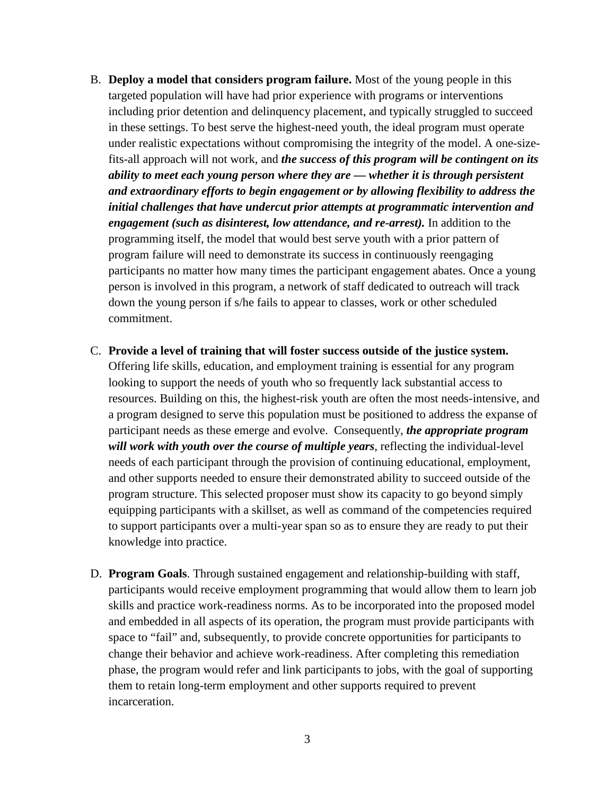- B. **Deploy a model that considers program failure.** Most of the young people in this targeted population will have had prior experience with programs or interventions including prior detention and delinquency placement, and typically struggled to succeed in these settings. To best serve the highest-need youth, the ideal program must operate under realistic expectations without compromising the integrity of the model. A one-sizefits-all approach will not work, and *the success of this program will be contingent on its ability to meet each young person where they are — whether it is through persistent and extraordinary efforts to begin engagement or by allowing flexibility to address the initial challenges that have undercut prior attempts at programmatic intervention and engagement (such as disinterest, low attendance, and re-arrest).* In addition to the programming itself, the model that would best serve youth with a prior pattern of program failure will need to demonstrate its success in continuously reengaging participants no matter how many times the participant engagement abates. Once a young person is involved in this program, a network of staff dedicated to outreach will track down the young person if s/he fails to appear to classes, work or other scheduled commitment.
- C. **Provide a level of training that will foster success outside of the justice system.** Offering life skills, education, and employment training is essential for any program looking to support the needs of youth who so frequently lack substantial access to resources. Building on this, the highest-risk youth are often the most needs-intensive, and a program designed to serve this population must be positioned to address the expanse of participant needs as these emerge and evolve. Consequently, *the appropriate program will work with youth over the course of multiple years*, reflecting the individual-level needs of each participant through the provision of continuing educational, employment, and other supports needed to ensure their demonstrated ability to succeed outside of the program structure. This selected proposer must show its capacity to go beyond simply equipping participants with a skillset, as well as command of the competencies required to support participants over a multi-year span so as to ensure they are ready to put their knowledge into practice.
- D. **Program Goals**. Through sustained engagement and relationship-building with staff, participants would receive employment programming that would allow them to learn job skills and practice work-readiness norms. As to be incorporated into the proposed model and embedded in all aspects of its operation, the program must provide participants with space to "fail" and, subsequently, to provide concrete opportunities for participants to change their behavior and achieve work-readiness. After completing this remediation phase, the program would refer and link participants to jobs, with the goal of supporting them to retain long-term employment and other supports required to prevent incarceration.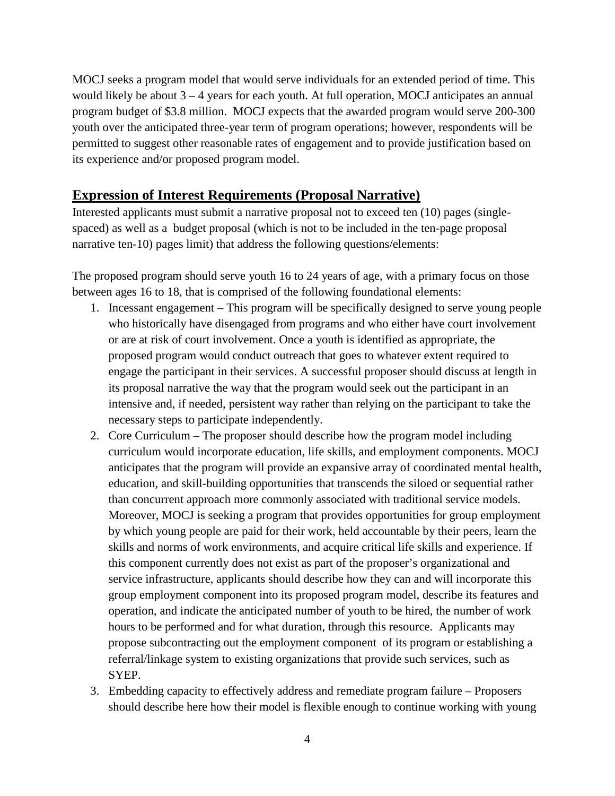MOCJ seeks a program model that would serve individuals for an extended period of time. This would likely be about  $3 - 4$  years for each youth. At full operation, MOCJ anticipates an annual program budget of \$3.8 million. MOCJ expects that the awarded program would serve 200-300 youth over the anticipated three-year term of program operations; however, respondents will be permitted to suggest other reasonable rates of engagement and to provide justification based on its experience and/or proposed program model.

### **Expression of Interest Requirements (Proposal Narrative)**

Interested applicants must submit a narrative proposal not to exceed ten (10) pages (singlespaced) as well as a budget proposal (which is not to be included in the ten-page proposal narrative ten-10) pages limit) that address the following questions/elements:

The proposed program should serve youth 16 to 24 years of age, with a primary focus on those between ages 16 to 18, that is comprised of the following foundational elements:

- 1. Incessant engagement This program will be specifically designed to serve young people who historically have disengaged from programs and who either have court involvement or are at risk of court involvement. Once a youth is identified as appropriate, the proposed program would conduct outreach that goes to whatever extent required to engage the participant in their services. A successful proposer should discuss at length in its proposal narrative the way that the program would seek out the participant in an intensive and, if needed, persistent way rather than relying on the participant to take the necessary steps to participate independently.
- 2. Core Curriculum The proposer should describe how the program model including curriculum would incorporate education, life skills, and employment components. MOCJ anticipates that the program will provide an expansive array of coordinated mental health, education, and skill-building opportunities that transcends the siloed or sequential rather than concurrent approach more commonly associated with traditional service models. Moreover, MOCJ is seeking a program that provides opportunities for group employment by which young people are paid for their work, held accountable by their peers, learn the skills and norms of work environments, and acquire critical life skills and experience. If this component currently does not exist as part of the proposer's organizational and service infrastructure, applicants should describe how they can and will incorporate this group employment component into its proposed program model, describe its features and operation, and indicate the anticipated number of youth to be hired, the number of work hours to be performed and for what duration, through this resource. Applicants may propose subcontracting out the employment component of its program or establishing a referral/linkage system to existing organizations that provide such services, such as SYEP.
- 3. Embedding capacity to effectively address and remediate program failure Proposers should describe here how their model is flexible enough to continue working with young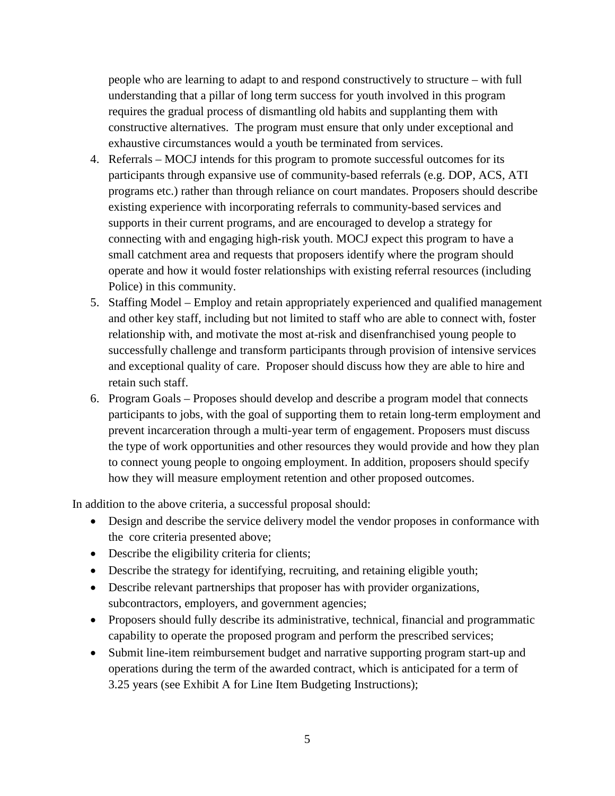people who are learning to adapt to and respond constructively to structure – with full understanding that a pillar of long term success for youth involved in this program requires the gradual process of dismantling old habits and supplanting them with constructive alternatives. The program must ensure that only under exceptional and exhaustive circumstances would a youth be terminated from services.

- 4. Referrals MOCJ intends for this program to promote successful outcomes for its participants through expansive use of community-based referrals (e.g. DOP, ACS, ATI programs etc.) rather than through reliance on court mandates. Proposers should describe existing experience with incorporating referrals to community-based services and supports in their current programs, and are encouraged to develop a strategy for connecting with and engaging high-risk youth. MOCJ expect this program to have a small catchment area and requests that proposers identify where the program should operate and how it would foster relationships with existing referral resources (including Police) in this community.
- 5. Staffing Model Employ and retain appropriately experienced and qualified management and other key staff, including but not limited to staff who are able to connect with, foster relationship with, and motivate the most at-risk and disenfranchised young people to successfully challenge and transform participants through provision of intensive services and exceptional quality of care. Proposer should discuss how they are able to hire and retain such staff.
- 6. Program Goals Proposes should develop and describe a program model that connects participants to jobs, with the goal of supporting them to retain long-term employment and prevent incarceration through a multi-year term of engagement. Proposers must discuss the type of work opportunities and other resources they would provide and how they plan to connect young people to ongoing employment. In addition, proposers should specify how they will measure employment retention and other proposed outcomes.

In addition to the above criteria, a successful proposal should:

- Design and describe the service delivery model the vendor proposes in conformance with the core criteria presented above;
- Describe the eligibility criteria for clients;
- Describe the strategy for identifying, recruiting, and retaining eligible youth;
- Describe relevant partnerships that proposer has with provider organizations, subcontractors, employers, and government agencies;
- Proposers should fully describe its administrative, technical, financial and programmatic capability to operate the proposed program and perform the prescribed services;
- Submit line-item reimbursement budget and narrative supporting program start-up and operations during the term of the awarded contract, which is anticipated for a term of 3.25 years (see Exhibit A for Line Item Budgeting Instructions);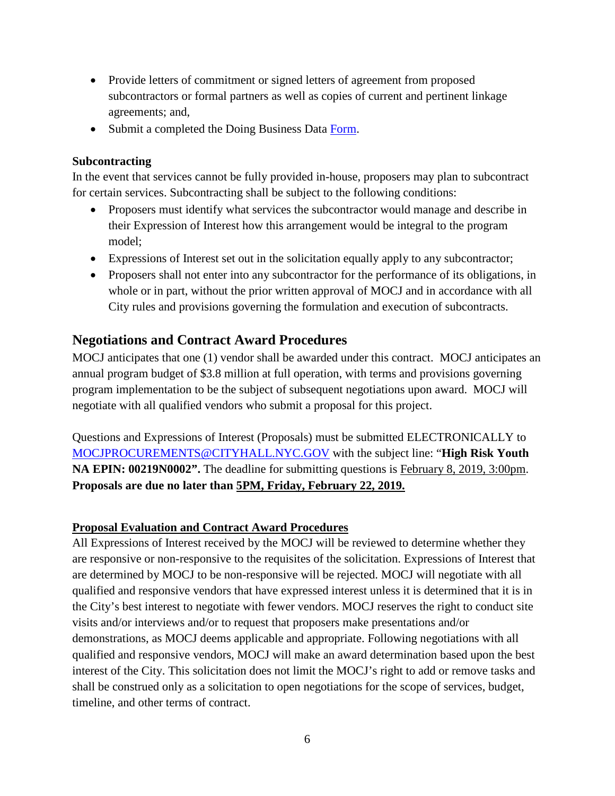- Provide letters of commitment or signed letters of agreement from proposed subcontractors or formal partners as well as copies of current and pertinent linkage agreements; and,
- Submit a completed the Doing Business Data [Form.](http://www.nyc.gov/html/dot/weekendwalks/downloads/pdf/doing-business-data-form-2018.pdf)

#### **Subcontracting**

In the event that services cannot be fully provided in-house, proposers may plan to subcontract for certain services. Subcontracting shall be subject to the following conditions:

- Proposers must identify what services the subcontractor would manage and describe in their Expression of Interest how this arrangement would be integral to the program model;
- Expressions of Interest set out in the solicitation equally apply to any subcontractor;
- Proposers shall not enter into any subcontractor for the performance of its obligations, in whole or in part, without the prior written approval of MOCJ and in accordance with all City rules and provisions governing the formulation and execution of subcontracts.

### **Negotiations and Contract Award Procedures**

MOCJ anticipates that one (1) vendor shall be awarded under this contract. MOCJ anticipates an annual program budget of \$3.8 million at full operation, with terms and provisions governing program implementation to be the subject of subsequent negotiations upon award. MOCJ will negotiate with all qualified vendors who submit a proposal for this project.

Questions and Expressions of Interest (Proposals) must be submitted ELECTRONICALLY to [MOCJPROCUREMENTS@CITYHALL.NYC.GOV](mailto:MOCJPROCUREMENTS@CITYHALL.NYC.GOV) with the subject line: "**High Risk Youth NA EPIN: 00219N0002".** The deadline for submitting questions is February 8, 2019, 3:00pm. **Proposals are due no later than 5PM, Friday, February 22, 2019.**

#### **Proposal Evaluation and Contract Award Procedures**

All Expressions of Interest received by the MOCJ will be reviewed to determine whether they are responsive or non-responsive to the requisites of the solicitation. Expressions of Interest that are determined by MOCJ to be non-responsive will be rejected. MOCJ will negotiate with all qualified and responsive vendors that have expressed interest unless it is determined that it is in the City's best interest to negotiate with fewer vendors. MOCJ reserves the right to conduct site visits and/or interviews and/or to request that proposers make presentations and/or demonstrations, as MOCJ deems applicable and appropriate. Following negotiations with all qualified and responsive vendors, MOCJ will make an award determination based upon the best interest of the City. This solicitation does not limit the MOCJ's right to add or remove tasks and shall be construed only as a solicitation to open negotiations for the scope of services, budget, timeline, and other terms of contract.